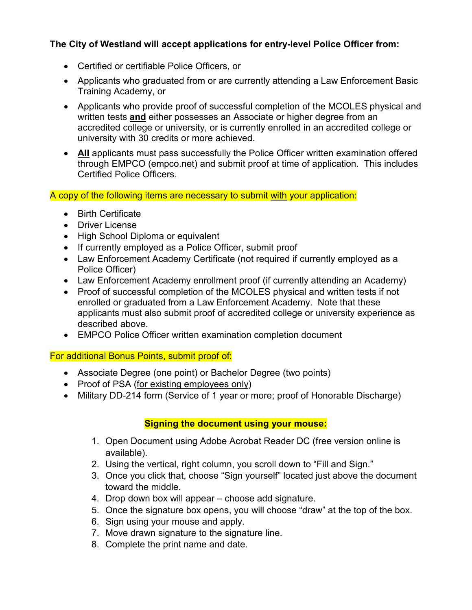#### **The City of Westland will accept applications for entry-level Police Officer from:**

- Certified or certifiable Police Officers, or
- Applicants who graduated from or are currently attending a Law Enforcement Basic Training Academy, or
- Applicants who provide proof of successful completion of the MCOLES physical and written tests **and** either possesses an Associate or higher degree from an accredited college or university, or is currently enrolled in an accredited college or university with 30 credits or more achieved.
- **All** applicants must pass successfully the Police Officer written examination offered through EMPCO (empco.net) and submit proof at time of application. This includes Certified Police Officers.

A copy of the following items are necessary to submit with your application:

- Birth Certificate
- Driver License
- High School Diploma or equivalent
- If currently employed as a Police Officer, submit proof
- Law Enforcement Academy Certificate (not required if currently employed as a Police Officer)
- Law Enforcement Academy enrollment proof (if currently attending an Academy)
- Proof of successful completion of the MCOLES physical and written tests if not enrolled or graduated from a Law Enforcement Academy. Note that these applicants must also submit proof of accredited college or university experience as described above.
- EMPCO Police Officer written examination completion document

For additional Bonus Points, submit proof of:

- Associate Degree (one point) or Bachelor Degree (two points)
- Proof of PSA (for existing employees only)
- Military DD-214 form (Service of 1 year or more; proof of Honorable Discharge)

#### **Signing the document using your mouse:**

- 1. Open Document using Adobe Acrobat Reader DC (free version online is available).
- 2. Using the vertical, right column, you scroll down to "Fill and Sign."
- 3. Once you click that, choose "Sign yourself" located just above the document toward the middle.
- 4. Drop down box will appear choose add signature.
- 5. Once the signature box opens, you will choose "draw" at the top of the box.
- 6. Sign using your mouse and apply.
- 7. Move drawn signature to the signature line.
- 8. Complete the print name and date.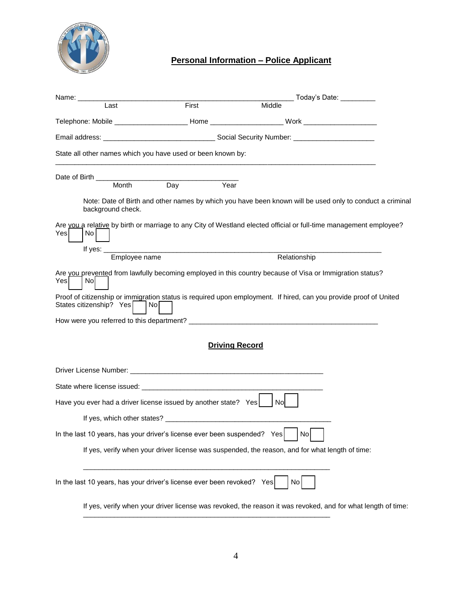

### **Personal Information – Police Applicant**

| Name: _____                                                              |                                                                                                                      | _ Today's Date:     _                                                                                              |
|--------------------------------------------------------------------------|----------------------------------------------------------------------------------------------------------------------|--------------------------------------------------------------------------------------------------------------------|
| Last                                                                     | First                                                                                                                | Middle                                                                                                             |
|                                                                          |                                                                                                                      | Telephone: Mobile ______________________ Home _____________________ Work _____________________                     |
|                                                                          |                                                                                                                      |                                                                                                                    |
| State all other names which you have used or been known by:              |                                                                                                                      |                                                                                                                    |
| Date of Birth ____                                                       |                                                                                                                      |                                                                                                                    |
| Month                                                                    | Day<br>Year                                                                                                          |                                                                                                                    |
| background check.                                                        |                                                                                                                      | Note: Date of Birth and other names by which you have been known will be used only to conduct a criminal           |
| Yes<br>No.                                                               |                                                                                                                      | Are you a relative by birth or marriage to any City of Westland elected official or full-time management employee? |
| If yes: $\_$<br>Employee name                                            | <u> 2000 - 2000 - 2000 - 2000 - 2000 - 2000 - 2000 - 2000 - 2000 - 2000 - 2000 - 2000 - 2000 - 2000 - 2000 - 200</u> | Relationship                                                                                                       |
| Yes<br>Nol                                                               |                                                                                                                      | Are you prevented from lawfully becoming employed in this country because of Visa or Immigration status?           |
| States citizenship? Yes                                                  | Nol                                                                                                                  | Proof of citizenship or immigration status is required upon employment. If hired, can you provide proof of United  |
|                                                                          |                                                                                                                      |                                                                                                                    |
|                                                                          |                                                                                                                      | <b>Driving Record</b>                                                                                              |
|                                                                          |                                                                                                                      |                                                                                                                    |
|                                                                          |                                                                                                                      |                                                                                                                    |
| Have you ever had a driver license issued by another state? Yes          |                                                                                                                      | <b>No</b>                                                                                                          |
|                                                                          |                                                                                                                      |                                                                                                                    |
| In the last 10 years, has your driver's license ever been suspended? Yes |                                                                                                                      | $ $ No $ $                                                                                                         |
|                                                                          |                                                                                                                      | If yes, verify when your driver license was suspended, the reason, and for what length of time:                    |
| In the last 10 years, has your driver's license ever been revoked? Yes   |                                                                                                                      | No                                                                                                                 |
|                                                                          |                                                                                                                      | If yes, verify when your driver license was revoked, the reason it was revoked, and for what length of time:       |

\_\_\_\_\_\_\_\_\_\_\_\_\_\_\_\_\_\_\_\_\_\_\_\_\_\_\_\_\_\_\_\_\_\_\_\_\_\_\_\_\_\_\_\_\_\_\_\_\_\_\_\_\_\_\_\_\_\_\_\_\_\_\_\_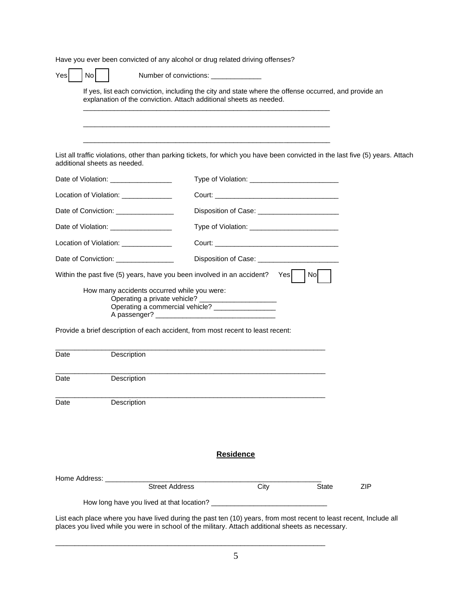Have you ever been convicted of any alcohol or drug related driving offenses?

| Yes  | No            |                                                                                                                                                                                                                         | Number of convictions: ______________ |                                                                                                                                                                                                                                |              |     |  |
|------|---------------|-------------------------------------------------------------------------------------------------------------------------------------------------------------------------------------------------------------------------|---------------------------------------|--------------------------------------------------------------------------------------------------------------------------------------------------------------------------------------------------------------------------------|--------------|-----|--|
|      |               | If yes, list each conviction, including the city and state where the offense occurred, and provide an<br>explanation of the conviction. Attach additional sheets as needed.                                             |                                       |                                                                                                                                                                                                                                |              |     |  |
|      |               |                                                                                                                                                                                                                         |                                       |                                                                                                                                                                                                                                |              |     |  |
|      |               | List all traffic violations, other than parking tickets, for which you have been convicted in the last five (5) years. Attach<br>additional sheets as needed.                                                           |                                       |                                                                                                                                                                                                                                |              |     |  |
|      |               | Date of Violation: Date of Violation:                                                                                                                                                                                   |                                       |                                                                                                                                                                                                                                |              |     |  |
|      |               | Location of Violation: ______________                                                                                                                                                                                   |                                       |                                                                                                                                                                                                                                |              |     |  |
|      |               | Date of Conviction: _______________                                                                                                                                                                                     |                                       |                                                                                                                                                                                                                                |              |     |  |
|      |               |                                                                                                                                                                                                                         |                                       |                                                                                                                                                                                                                                |              |     |  |
|      |               | Location of Violation: ______________                                                                                                                                                                                   |                                       | Court: Court Court Court Court Court Court Court Court Court Court Court Court Court Court Court Court Court Court Court Court Court Court Court Court Court Court Court Court Court Court Court Court Court Court Court Court |              |     |  |
|      |               | Date of Conviction: ________________                                                                                                                                                                                    |                                       |                                                                                                                                                                                                                                |              |     |  |
|      |               | Within the past five (5) years, have you been involved in an accident?                                                                                                                                                  |                                       | Yesl                                                                                                                                                                                                                           | Nol          |     |  |
|      |               | How many accidents occurred while you were:<br>Operating a private vehicle?<br>Operating a commercial vehicle? ________________<br>A passenger? _                                                                       |                                       |                                                                                                                                                                                                                                |              |     |  |
|      |               | Provide a brief description of each accident, from most recent to least recent:                                                                                                                                         |                                       |                                                                                                                                                                                                                                |              |     |  |
| Date |               | Description                                                                                                                                                                                                             |                                       |                                                                                                                                                                                                                                |              |     |  |
| Date |               | Description                                                                                                                                                                                                             |                                       |                                                                                                                                                                                                                                |              |     |  |
| Date |               | Description                                                                                                                                                                                                             |                                       |                                                                                                                                                                                                                                |              |     |  |
|      |               |                                                                                                                                                                                                                         |                                       |                                                                                                                                                                                                                                |              |     |  |
|      |               |                                                                                                                                                                                                                         | <b>Residence</b>                      |                                                                                                                                                                                                                                |              |     |  |
|      | Home Address: |                                                                                                                                                                                                                         |                                       |                                                                                                                                                                                                                                |              |     |  |
|      |               | <b>Street Address</b>                                                                                                                                                                                                   |                                       | City                                                                                                                                                                                                                           | <b>State</b> | ZIP |  |
|      |               |                                                                                                                                                                                                                         |                                       |                                                                                                                                                                                                                                |              |     |  |
|      |               | List each place where you have lived during the past ten (10) years, from most recent to least recent, Include all<br>places you lived while you were in school of the military. Attach additional sheets as necessary. |                                       |                                                                                                                                                                                                                                |              |     |  |

\_\_\_\_\_\_\_\_\_\_\_\_\_\_\_\_\_\_\_\_\_\_\_\_\_\_\_\_\_\_\_\_\_\_\_\_\_\_\_\_\_\_\_\_\_\_\_\_\_\_\_\_\_\_\_\_\_\_\_\_\_\_\_\_\_\_\_\_\_\_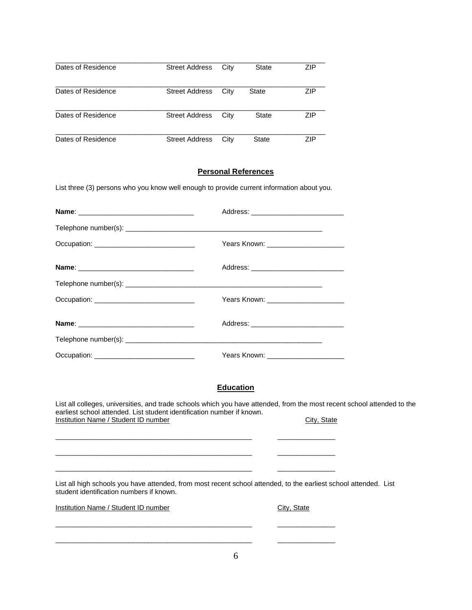| Dates of Residence | <b>Street Address</b> | City | State        | <b>ZIP</b> |
|--------------------|-----------------------|------|--------------|------------|
| Dates of Residence | <b>Street Address</b> | City | <b>State</b> | <b>ZIP</b> |
| Dates of Residence | <b>Street Address</b> | City | State        | <b>ZIP</b> |
| Dates of Residence | <b>Street Address</b> | Citv | State        | ZIP        |

#### **Personal References**

List three (3) persons who you know well enough to provide current information about you.

|                                               | Address: ______________________________ |  |
|-----------------------------------------------|-----------------------------------------|--|
|                                               |                                         |  |
| Occupation: _________________________________ |                                         |  |
|                                               |                                         |  |
|                                               |                                         |  |
| Occupation: _________________________________ | Years Known: ________________________   |  |
|                                               |                                         |  |
|                                               |                                         |  |
| Occupation: _______________________________   |                                         |  |

 $\overline{\phantom{a}}$  , and the contribution of the contribution of the contribution of the contribution of  $\overline{\phantom{a}}$ 

 $\overline{\phantom{a}}$  , and the contribution of the contribution of the contribution of the contribution of  $\overline{\phantom{a}}$ 

 $\overline{\phantom{a}}$  , and the contribution of the contribution of the contribution of the contribution of  $\overline{\phantom{a}}$ 

 $\overline{\phantom{a}}$  , and the contribution of the contribution of the contribution of the contribution of  $\overline{\phantom{a}}$ 

 $\overline{\phantom{a}}$  , and the contribution of the contribution of the contribution of the contribution of  $\overline{\phantom{a}}$ 

#### **Education**

List all colleges, universities, and trade schools which you have attended, from the most recent school attended to the earliest school attended. List student identification number if known. Institution Name / Student ID number City, State

List all high schools you have attended, from most recent school attended, to the earliest school attended. List student identification numbers if known.

Institution Name / Student ID number City, State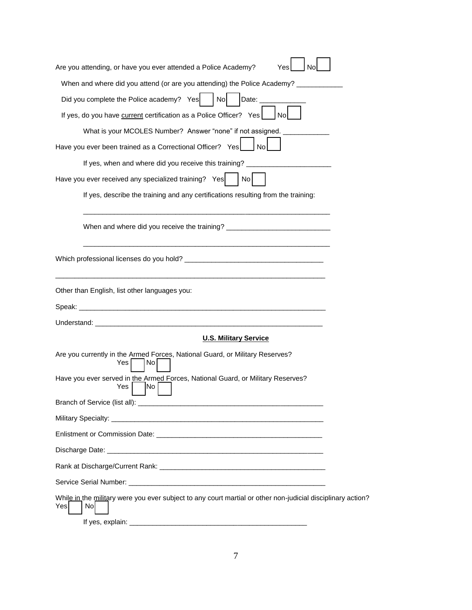| Are you attending, or have you ever attended a Police Academy?<br>Yes<br>No                                               |
|---------------------------------------------------------------------------------------------------------------------------|
| When and where did you attend (or are you attending) the Police Academy? _                                                |
| Did you complete the Police academy? Yes<br>N <sub>o</sub><br>Date:                                                       |
| If yes, do you have current certification as a Police Officer? Yes<br>No                                                  |
| What is your MCOLES Number? Answer "none" if not assigned.                                                                |
| Have you ever been trained as a Correctional Officer? Yes<br><b>No</b>                                                    |
| If yes, when and where did you receive this training? _                                                                   |
| Have you ever received any specialized training? Yes<br>No l                                                              |
| If yes, describe the training and any certifications resulting from the training:                                         |
| When and where did you receive the training? ___________________________________                                          |
|                                                                                                                           |
| Other than English, list other languages you:                                                                             |
| Speak:                                                                                                                    |
|                                                                                                                           |
| <b>U.S. Military Service</b>                                                                                              |
| Are you currently in the Armed Forces, National Guard, or Military Reserves?<br>Yes<br>No.                                |
| Have you ever served in the Armed Forces, National Guard, or Military Reserves?<br>Yes<br>INo                             |
| Branch of Service (list all):                                                                                             |
| Military Specialty:                                                                                                       |
| Enlistment or Commission Date: Note of the Commission of the Commission of the Commission of the Commission of            |
|                                                                                                                           |
|                                                                                                                           |
|                                                                                                                           |
| While in the military were you ever subject to any court martial or other non-judicial disciplinary action?<br>Nol<br>Yes |
|                                                                                                                           |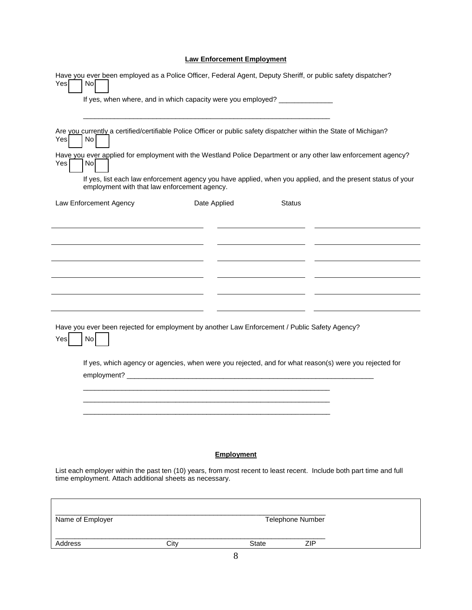#### **Law Enforcement Employment**

| Have you ever been employed as a Police Officer, Federal Agent, Deputy Sheriff, or public safety dispatcher?<br>Yes<br>No                                                       | If yes, when where, and in which capacity were you employed? __________________                        |                   |                         |                                                                                                             |
|---------------------------------------------------------------------------------------------------------------------------------------------------------------------------------|--------------------------------------------------------------------------------------------------------|-------------------|-------------------------|-------------------------------------------------------------------------------------------------------------|
| Are you currently a certified/certifiable Police Officer or public safety dispatcher within the State of Michigan?<br>Yes<br>No                                                 |                                                                                                        |                   |                         |                                                                                                             |
| Have you ever applied for employment with the Westland Police Department or any other law enforcement agency?<br>Yes<br>No                                                      |                                                                                                        |                   |                         | If yes, list each law enforcement agency you have applied, when you applied, and the present status of your |
| Law Enforcement Agency                                                                                                                                                          | employment with that law enforcement agency.                                                           | Date Applied      | <b>Status</b>           |                                                                                                             |
|                                                                                                                                                                                 |                                                                                                        |                   |                         |                                                                                                             |
|                                                                                                                                                                                 |                                                                                                        |                   |                         |                                                                                                             |
|                                                                                                                                                                                 |                                                                                                        |                   |                         |                                                                                                             |
| Have you ever been rejected for employment by another Law Enforcement / Public Safety Agency?<br>No<br>Yes                                                                      |                                                                                                        |                   |                         |                                                                                                             |
|                                                                                                                                                                                 | If yes, which agency or agencies, when were you rejected, and for what reason(s) were you rejected for |                   |                         |                                                                                                             |
|                                                                                                                                                                                 |                                                                                                        |                   |                         |                                                                                                             |
|                                                                                                                                                                                 |                                                                                                        | <b>Employment</b> |                         |                                                                                                             |
| List each employer within the past ten (10) years, from most recent to least recent. Include both part time and full<br>time employment. Attach additional sheets as necessary. |                                                                                                        |                   |                         |                                                                                                             |
| Name of Employer                                                                                                                                                                |                                                                                                        |                   | <b>Telephone Number</b> |                                                                                                             |
| Address                                                                                                                                                                         | City                                                                                                   | <b>State</b>      | <b>ZIP</b>              |                                                                                                             |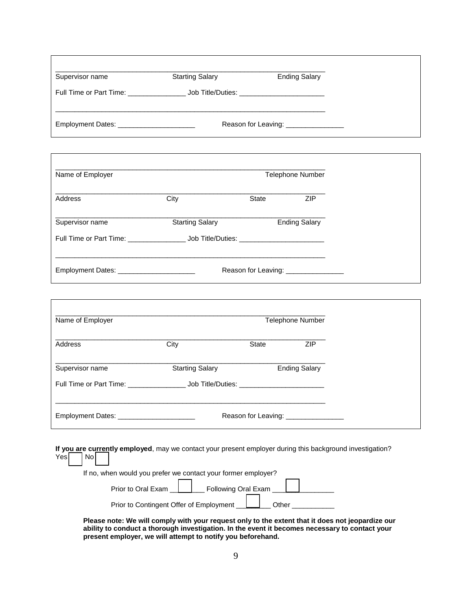| Supervisor name                              | <b>Starting Salary</b>                                                                                                         | <b>Ending Salary</b>                  |            |  |
|----------------------------------------------|--------------------------------------------------------------------------------------------------------------------------------|---------------------------------------|------------|--|
|                                              | Full Time or Part Time: ________________________ Job Title/Duties: _________________________________                           |                                       |            |  |
| Employment Dates: ________________________   |                                                                                                                                | Reason for Leaving: _________________ |            |  |
| Name of Employer                             |                                                                                                                                | <b>Telephone Number</b>               |            |  |
| Address                                      | City                                                                                                                           | State                                 | <b>ZIP</b> |  |
| Supervisor name                              | <b>Starting Salary</b><br>Full Time or Part Time: _______________________ Job Title/Duties: __________________________________ | <b>Ending Salary</b>                  |            |  |
| Employment Dates: __________________________ |                                                                                                                                | Reason for Leaving: ________________  |            |  |
| Name of Employer                             |                                                                                                                                | <b>Telephone Number</b>               |            |  |
| Address                                      | City                                                                                                                           | State                                 | <b>ZIP</b> |  |
| Supervisor name                              | <b>Starting Salary</b>                                                                                                         | <b>Ending Salary</b>                  |            |  |
|                                              |                                                                                                                                |                                       |            |  |
|                                              |                                                                                                                                | Reason for Leaving: ________________  |            |  |
| N <sub>o</sub><br>Yes                        | If you are currently employed, may we contact your present employer during this background investigation?                      |                                       |            |  |
|                                              | If no, when would you prefer we contact your former employer?                                                                  |                                       |            |  |
|                                              | Prior to Oral Exam _                                                                                                           | Following Oral Exam ___               |            |  |
|                                              |                                                                                                                                |                                       |            |  |

**present employer, we will attempt to notify you beforehand.**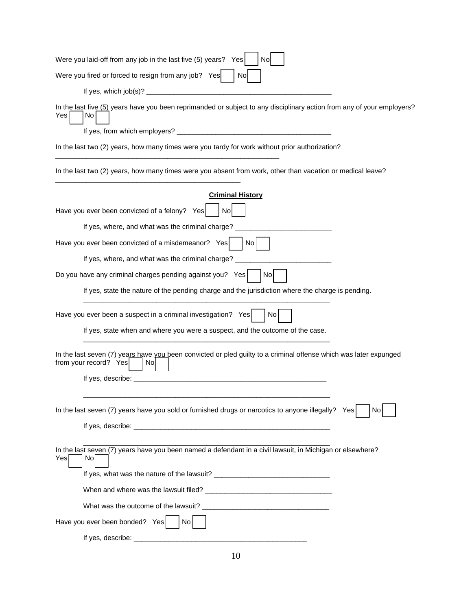| Were you laid-off from any job in the last five (5) years?<br>Yes<br>Νo                                                                                                                                                        |
|--------------------------------------------------------------------------------------------------------------------------------------------------------------------------------------------------------------------------------|
| Were you fired or forced to resign from any job? Yes<br>No                                                                                                                                                                     |
|                                                                                                                                                                                                                                |
| In the last five (5) years have you been reprimanded or subject to any disciplinary action from any of your employers?<br>Yes<br>No                                                                                            |
|                                                                                                                                                                                                                                |
| In the last two (2) years, how many times were you tardy for work without prior authorization?                                                                                                                                 |
| In the last two (2) years, how many times were you absent from work, other than vacation or medical leave?                                                                                                                     |
| <b>Criminal History</b>                                                                                                                                                                                                        |
| Have you ever been convicted of a felony? Yes<br>. Nol                                                                                                                                                                         |
| If yes, where, and what was the criminal charge? ___________                                                                                                                                                                   |
| Have you ever been convicted of a misdemeanor? Yes<br>No.                                                                                                                                                                      |
| If yes, where, and what was the criminal charge?                                                                                                                                                                               |
| Do you have any criminal charges pending against you? Yes<br>Nol                                                                                                                                                               |
| If yes, state the nature of the pending charge and the jurisdiction where the charge is pending.                                                                                                                               |
| Have you ever been a suspect in a criminal investigation? Yes<br>No                                                                                                                                                            |
| If yes, state when and where you were a suspect, and the outcome of the case.                                                                                                                                                  |
| In the last seven (7) years have you been convicted or pled guilty to a criminal offense which was later expunged<br>from your record? Yes<br>No.                                                                              |
| If yes, describe:                                                                                                                                                                                                              |
| In the last seven (7) years have you sold or furnished drugs or narcotics to anyone illegally?<br>Yes<br>No                                                                                                                    |
| If yes, describe: the contract of the contract of the contract of the contract of the contract of the contract of the contract of the contract of the contract of the contract of the contract of the contract of the contract |
| In the last seven (7) years have you been named a defendant in a civil lawsuit, in Michigan or elsewhere?<br>Yes<br>No                                                                                                         |
|                                                                                                                                                                                                                                |
|                                                                                                                                                                                                                                |
|                                                                                                                                                                                                                                |
| Have you ever been bonded? Yes<br>No                                                                                                                                                                                           |
| If yes, describe:                                                                                                                                                                                                              |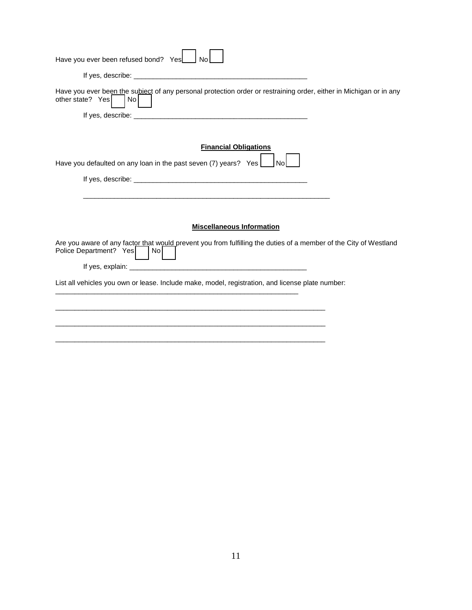| Have you ever been refused bond? Yes<br>No                                                                                                        |
|---------------------------------------------------------------------------------------------------------------------------------------------------|
|                                                                                                                                                   |
| Have you ever been the subject of any personal protection order or restraining order, either in Michigan or in any<br>other state? Yes<br>No      |
|                                                                                                                                                   |
| <b>Financial Obligations</b>                                                                                                                      |
| Have you defaulted on any loan in the past seven (7) years? Yes<br><b>No</b>                                                                      |
|                                                                                                                                                   |
|                                                                                                                                                   |
|                                                                                                                                                   |
| <b>Miscellaneous Information</b>                                                                                                                  |
| Are you aware of any factor that would prevent you from fulfilling the duties of a member of the City of Westland<br>Police Department? Yes<br>No |
|                                                                                                                                                   |
| List all vehicles you own or lease. Include make, model, registration, and license plate number:                                                  |
|                                                                                                                                                   |
|                                                                                                                                                   |
|                                                                                                                                                   |
|                                                                                                                                                   |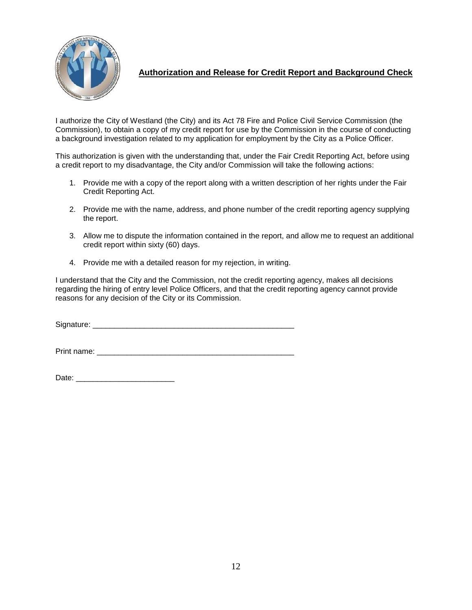

**Authorization and Release for Credit Report and Background Check**

I authorize the City of Westland (the City) and its Act 78 Fire and Police Civil Service Commission (the Commission), to obtain a copy of my credit report for use by the Commission in the course of conducting a background investigation related to my application for employment by the City as a Police Officer.

This authorization is given with the understanding that, under the Fair Credit Reporting Act, before using a credit report to my disadvantage, the City and/or Commission will take the following actions:

- 1. Provide me with a copy of the report along with a written description of her rights under the Fair Credit Reporting Act.
- 2. Provide me with the name, address, and phone number of the credit reporting agency supplying the report.
- 3. Allow me to dispute the information contained in the report, and allow me to request an additional credit report within sixty (60) days.
- 4. Provide me with a detailed reason for my rejection, in writing.

I understand that the City and the Commission, not the credit reporting agency, makes all decisions regarding the hiring of entry level Police Officers, and that the credit reporting agency cannot provide reasons for any decision of the City or its Commission.

Signature:  $\Box$ 

Print name: \_\_\_\_\_\_\_\_\_\_\_\_\_\_\_\_\_\_\_\_\_\_\_\_\_\_\_\_\_\_\_\_\_\_\_\_\_\_\_\_\_\_\_\_\_\_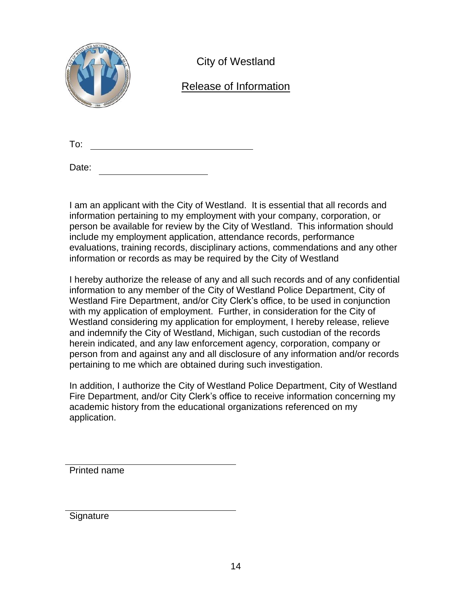

City of Westland

## Release of Information

To:

Date:

I am an applicant with the City of Westland. It is essential that all records and information pertaining to my employment with your company, corporation, or person be available for review by the City of Westland. This information should include my employment application, attendance records, performance evaluations, training records, disciplinary actions, commendations and any other information or records as may be required by the City of Westland

I hereby authorize the release of any and all such records and of any confidential information to any member of the City of Westland Police Department, City of Westland Fire Department, and/or City Clerk's office, to be used in conjunction with my application of employment. Further, in consideration for the City of Westland considering my application for employment, I hereby release, relieve and indemnify the City of Westland, Michigan, such custodian of the records herein indicated, and any law enforcement agency, corporation, company or person from and against any and all disclosure of any information and/or records pertaining to me which are obtained during such investigation.

In addition, I authorize the City of Westland Police Department, City of Westland Fire Department, and/or City Clerk's office to receive information concerning my academic history from the educational organizations referenced on my application.

Printed name

Signature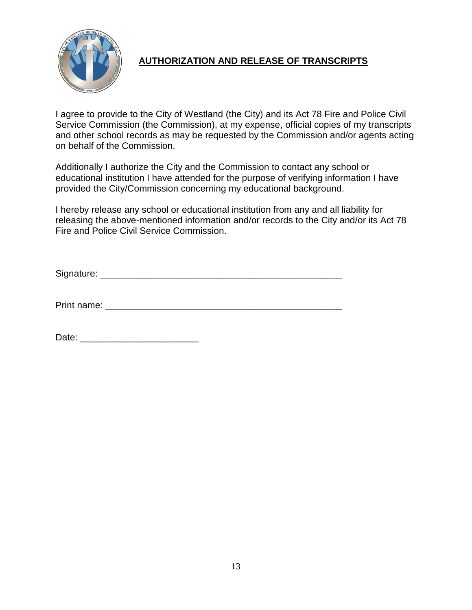

### **AUTHORIZATION AND RELEASE OF TRANSCRIPTS**

I agree to provide to the City of Westland (the City) and its Act 78 Fire and Police Civil Service Commission (the Commission), at my expense, official copies of my transcripts and other school records as may be requested by the Commission and/or agents acting on behalf of the Commission.

Additionally I authorize the City and the Commission to contact any school or educational institution I have attended for the purpose of verifying information I have provided the City/Commission concerning my educational background.

I hereby release any school or educational institution from any and all liability for releasing the above-mentioned information and/or records to the City and/or its Act 78 Fire and Police Civil Service Commission.

Signature:  $\Box$ 

Print name: \_\_\_\_\_\_\_\_\_\_\_\_\_\_\_\_\_\_\_\_\_\_\_\_\_\_\_\_\_\_\_\_\_\_\_\_\_\_\_\_\_\_\_\_\_\_

Date: \_\_\_\_\_\_\_\_\_\_\_\_\_\_\_\_\_\_\_\_\_\_\_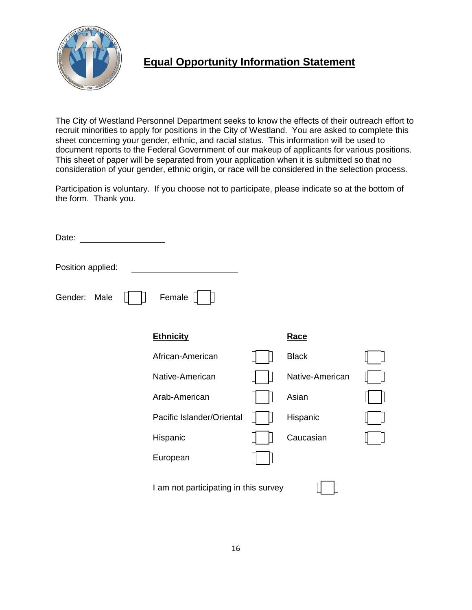

## **Equal Opportunity Information Statement**

The City of Westland Personnel Department seeks to know the effects of their outreach effort to recruit minorities to apply for positions in the City of Westland. You are asked to complete this sheet concerning your gender, ethnic, and racial status. This information will be used to document reports to the Federal Government of our makeup of applicants for various positions. This sheet of paper will be separated from your application when it is submitted so that no consideration of your gender, ethnic origin, or race will be considered in the selection process.

Participation is voluntary. If you choose not to participate, please indicate so at the bottom of the form. Thank you.

| Date:             |                                       |                 |  |
|-------------------|---------------------------------------|-----------------|--|
| Position applied: |                                       |                 |  |
| Gender:<br>Male   | Female                                |                 |  |
|                   | <b>Ethnicity</b>                      | Race            |  |
|                   | African-American                      | <b>Black</b>    |  |
|                   | Native-American                       | Native-American |  |
|                   | Arab-American                         | Asian           |  |
|                   | Pacific Islander/Oriental             | Hispanic        |  |
|                   | Hispanic                              | Caucasian       |  |
|                   | European                              |                 |  |
|                   | I am not participating in this survey |                 |  |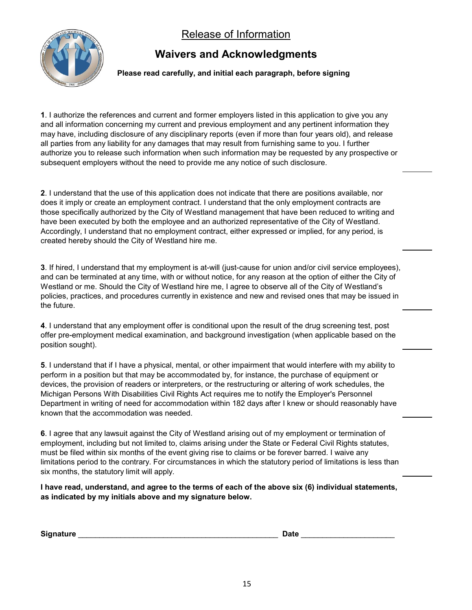Release of Information



## **Waivers and Acknowledgments**

 **Please read carefully, and initial each paragraph, before signing** 

**1**. I authorize the references and current and former employers listed in this application to give you any and all information concerning my current and previous employment and any pertinent information they may have, including disclosure of any disciplinary reports (even if more than four years old), and release all parties from any liability for any damages that may result from furnishing same to you. I further authorize you to release such information when such information may be requested by any prospective or subsequent employers without the need to provide me any notice of such disclosure.

**2**. I understand that the use of this application does not indicate that there are positions available, nor does it imply or create an employment contract. I understand that the only employment contracts are those specifically authorized by the City of Westland management that have been reduced to writing and have been executed by both the employee and an authorized representative of the City of Westland. Accordingly, I understand that no employment contract, either expressed or implied, for any period, is created hereby should the City of Westland hire me.

**3**. If hired, I understand that my employment is at-will (just-cause for union and/or civil service employees), and can be terminated at any time, with or without notice, for any reason at the option of either the City of Westland or me. Should the City of Westland hire me, I agree to observe all of the City of Westland's policies, practices, and procedures currently in existence and new and revised ones that may be issued in the future.

**4**. I understand that any employment offer is conditional upon the result of the drug screening test, post offer pre-employment medical examination, and background investigation (when applicable based on the position sought).

**5**. I understand that if I have a physical, mental, or other impairment that would interfere with my ability to perform in a position but that may be accommodated by, for instance, the purchase of equipment or devices, the provision of readers or interpreters, or the restructuring or altering of work schedules, the Michigan Persons With Disabilities Civil Rights Act requires me to notify the Employer's Personnel Department in writing of need for accommodation within 182 days after I knew or should reasonably have known that the accommodation was needed.

**6**. I agree that any lawsuit against the City of Westland arising out of my employment or termination of employment, including but not limited to, claims arising under the State or Federal Civil Rights statutes, must be filed within six months of the event giving rise to claims or be forever barred. I waive any limitations period to the contrary. For circumstances in which the statutory period of limitations is less than six months, the statutory limit will apply.

**I have read, understand, and agree to the terms of each of the above six (6) individual statements, as indicated by my initials above and my signature below.** 

| <b>Signature</b> | Date |  |
|------------------|------|--|
|------------------|------|--|